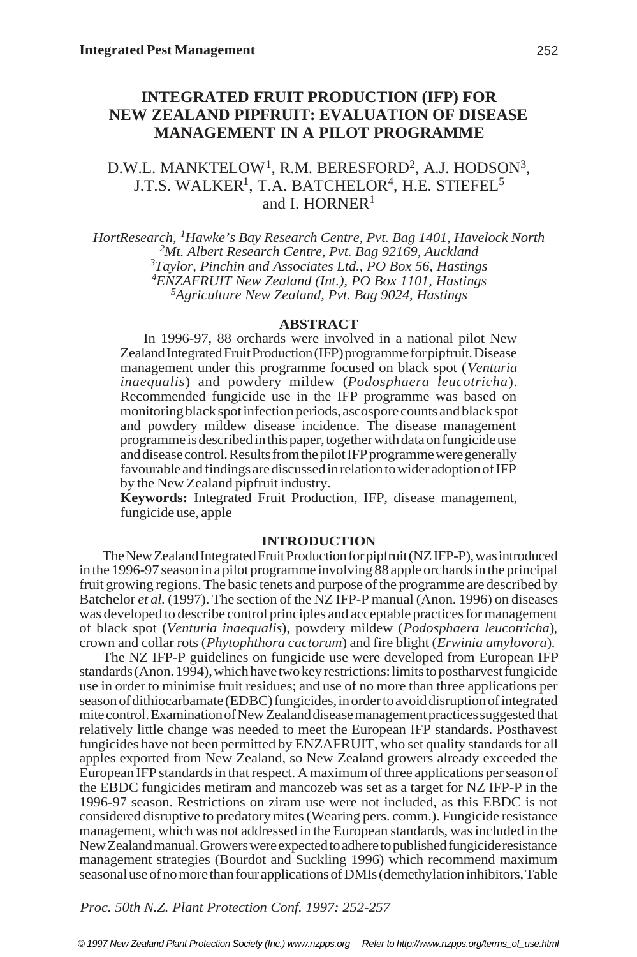# **INTEGRATED FRUIT PRODUCTION (IFP) FOR NEW ZEALAND PIPFRUIT: EVALUATION OF DISEASE MANAGEMENT IN A PILOT PROGRAMME**

# D.W.L. MANKTELOW $^{\rm l}$ , R.M. BERESFORD $^{\rm 2}$ , A.J. HODSON $^{\rm 3}$ , J.T.S. WALKER<sup>1</sup>, T.A. BATCHELOR<sup>4</sup>, H.E. STIEFEL<sup>5</sup> and I. HORNER<sup>1</sup>

*HortResearch, <sup>1</sup> Hawke's Bay Research Centre, Pvt. Bag 1401, Havelock North <sup>2</sup> Mt. Albert Research Centre, Pvt. Bag 92169, Auckland <sup>3</sup> Taylor, Pinchin and Associates Ltd., PO Box 56, Hastings 4 ENZAFRUIT New Zealand (Int.), PO Box 1101, Hastings <sup>5</sup> Agriculture New Zealand, Pvt. Bag 9024, Hastings*

## **ABSTRACT**

In 1996-97, 88 orchards were involved in a national pilot New Zealand Integrated Fruit Production (IFP) programme for pipfruit. Disease management under this programme focused on black spot (*Venturia inaequalis*) and powdery mildew (*Podosphaera leucotricha*). Recommended fungicide use in the IFP programme was based on monitoring black spot infection periods, ascospore counts and black spot and powdery mildew disease incidence. The disease management programme is described in this paper, together with data on fungicide use and disease control. Results from the pilot IFP programme were generally favourable and findings are discussed in relation to wider adoption of IFP by the New Zealand pipfruit industry.

**Keywords:** Integrated Fruit Production, IFP, disease management, fungicide use, apple

## **INTRODUCTION**

The New Zealand Integrated Fruit Production for pipfruit (NZ IFP-P), was introduced in the 1996-97 season in a pilot programme involving 88 apple orchards in the principal fruit growing regions. The basic tenets and purpose of the programme are described by Batchelor *et al.* (1997). The section of the NZ IFP-P manual (Anon. 1996) on diseases was developed to describe control principles and acceptable practices for management of black spot (*Venturia inaequalis*), powdery mildew (*Podosphaera leucotricha*), crown and collar rots (*Phytophthora cactorum*) and fire blight (*Erwinia amylovora*).

The NZ IFP-P guidelines on fungicide use were developed from European IFP standards (Anon. 1994), which have two key restrictions: limits to postharvest fungicide use in order to minimise fruit residues; and use of no more than three applications per season of dithiocarbamate (EDBC) fungicides, in order to avoid disruption of integrated mite control. Examination of New Zealand disease management practices suggested that relatively little change was needed to meet the European IFP standards. Posthavest fungicides have not been permitted by ENZAFRUIT, who set quality standards for all apples exported from New Zealand, so New Zealand growers already exceeded the European IFP standards in that respect. A maximum of three applications per season of the EBDC fungicides metiram and mancozeb was set as a target for NZ IFP-P in the 1996-97 season. Restrictions on ziram use were not included, as this EBDC is not considered disruptive to predatory mites (Wearing pers. comm.). Fungicide resistance management, which was not addressed in the European standards, was included in the New Zealand manual. Growers were expected to adhere to published fungicide resistance management strategies (Bourdot and Suckling 1996) which recommend maximum seasonal use of no more than four applications of DMIs (demethylation inhibitors, Table

*Proc. 50th N.Z. Plant Protection Conf. 1997: 252-257*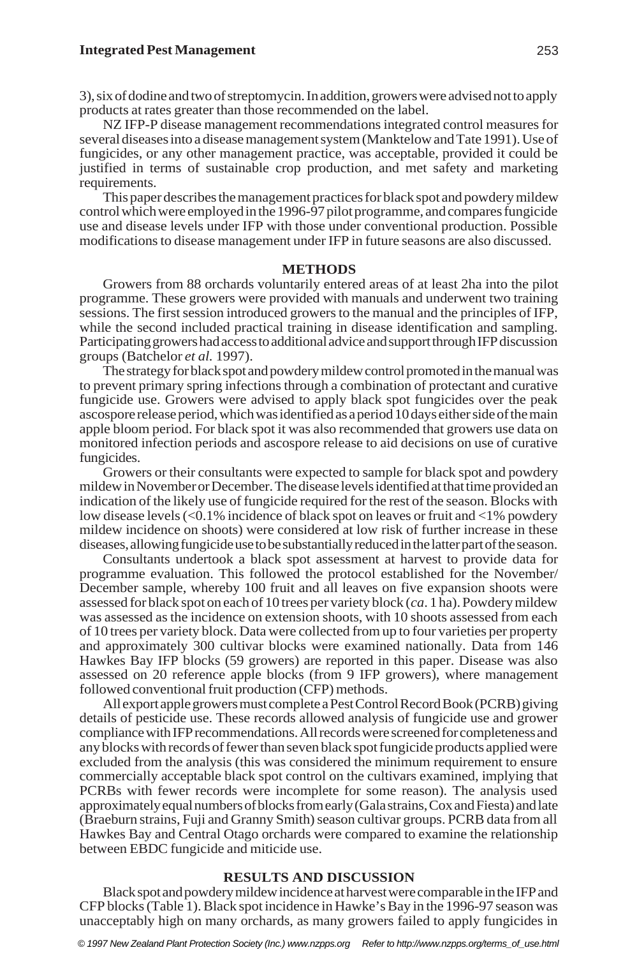3), six of dodine and two of streptomycin. In addition, growers were advised not to apply products at rates greater than those recommended on the label.

NZ IFP-P disease management recommendations integrated control measures for several diseases into a disease management system (Manktelow and Tate 1991). Use of fungicides, or any other management practice, was acceptable, provided it could be justified in terms of sustainable crop production, and met safety and marketing requirements.

This paper describes the management practices for black spot and powdery mildew control which were employed in the 1996-97 pilot programme, and compares fungicide use and disease levels under IFP with those under conventional production. Possible modifications to disease management under IFP in future seasons are also discussed.

### **METHODS**

Growers from 88 orchards voluntarily entered areas of at least 2ha into the pilot programme. These growers were provided with manuals and underwent two training sessions. The first session introduced growers to the manual and the principles of IFP, while the second included practical training in disease identification and sampling. Participating growers had access to additional advice and support through IFP discussion groups (Batchelor *et al.* 1997).

The strategy for black spot and powdery mildew control promoted in the manual was to prevent primary spring infections through a combination of protectant and curative fungicide use. Growers were advised to apply black spot fungicides over the peak ascospore release period, which was identified as a period 10 days either side of the main apple bloom period. For black spot it was also recommended that growers use data on monitored infection periods and ascospore release to aid decisions on use of curative fungicides.

Growers or their consultants were expected to sample for black spot and powdery mildew in November or December. The disease levels identified at that time provided an indication of the likely use of fungicide required for the rest of the season. Blocks with low disease levels (<0.1% incidence of black spot on leaves or fruit and <1% powdery mildew incidence on shoots) were considered at low risk of further increase in these diseases, allowing fungicide use to be substantially reduced in the latter part of the season.

Consultants undertook a black spot assessment at harvest to provide data for programme evaluation. This followed the protocol established for the November/ December sample, whereby 100 fruit and all leaves on five expansion shoots were assessed for black spot on each of 10 trees per variety block (*ca*. 1 ha). Powdery mildew was assessed as the incidence on extension shoots, with 10 shoots assessed from each of 10 trees per variety block. Data were collected from up to four varieties per property and approximately 300 cultivar blocks were examined nationally. Data from 146 Hawkes Bay IFP blocks (59 growers) are reported in this paper. Disease was also assessed on 20 reference apple blocks (from 9 IFP growers), where management followed conventional fruit production (CFP) methods.

All export apple growers must complete a Pest Control Record Book (PCRB) giving details of pesticide use. These records allowed analysis of fungicide use and grower compliance with IFP recommendations. All records were screened for completeness and any blocks with records of fewer than seven black spot fungicide products applied were excluded from the analysis (this was considered the minimum requirement to ensure commercially acceptable black spot control on the cultivars examined, implying that PCRBs with fewer records were incomplete for some reason). The analysis used approximately equal numbers of blocks from early (Gala strains, Cox and Fiesta) and late (Braeburn strains, Fuji and Granny Smith) season cultivar groups. PCRB data from all Hawkes Bay and Central Otago orchards were compared to examine the relationship between EBDC fungicide and miticide use.

## **RESULTS AND DISCUSSION**

Black spot and powdery mildew incidence at harvest were comparable in the IFP and CFP blocks (Table 1). Black spot incidence in Hawke's Bay in the 1996-97 season was unacceptably high on many orchards, as many growers failed to apply fungicides in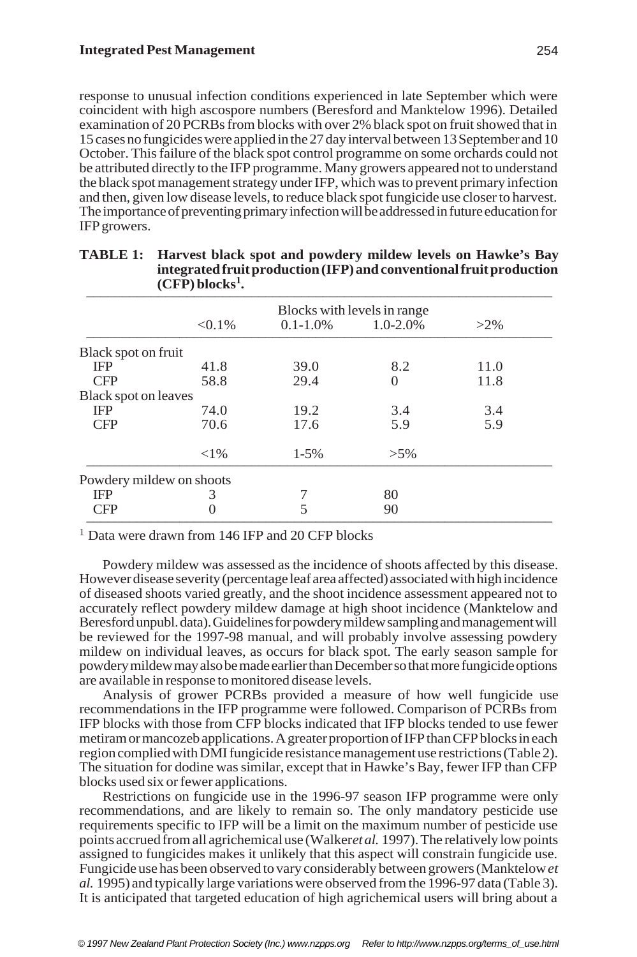response to unusual infection conditions experienced in late September which were coincident with high ascospore numbers (Beresford and Manktelow 1996). Detailed examination of 20 PCRBs from blocks with over 2% black spot on fruit showed that in 15 cases no fungicides were applied in the 27 day interval between 13 September and 10 October. This failure of the black spot control programme on some orchards could not be attributed directly to the IFP programme. Many growers appeared not to understand the black spot management strategy under IFP, which was to prevent primary infection and then, given low disease levels, to reduce black spot fungicide use closer to harvest. The importance of preventing primary infection will be addressed in future education for IFP growers.

|                          | $\sqrt{2}$ $\sqrt{2}$ |                             |              |        |  |  |
|--------------------------|-----------------------|-----------------------------|--------------|--------|--|--|
|                          |                       | Blocks with levels in range |              |        |  |  |
|                          | $< 0.1\%$             | $0.1 - 1.0\%$               | $1.0 - 2.0%$ | $>2\%$ |  |  |
| Black spot on fruit      |                       |                             |              |        |  |  |
| IFP                      | 41.8                  | 39.0                        | 8.2          | 11.0   |  |  |
| <b>CFP</b>               | 58.8                  | 29.4                        | $\Omega$     | 11.8   |  |  |
| Black spot on leaves     |                       |                             |              |        |  |  |
| <b>IFP</b>               | 74.0                  | 19.2                        | 3.4          | 3.4    |  |  |
| <b>CFP</b>               | 70.6                  | 17.6                        | 5.9          | 5.9    |  |  |
|                          | ${<}1\%$              | $1 - 5\%$                   | $>5\%$       |        |  |  |
| Powdery mildew on shoots |                       |                             |              |        |  |  |
| IFP                      | 3                     |                             | 80           |        |  |  |
| <b>CFP</b>               | $\Omega$              | 5                           | 90           |        |  |  |

#### **TABLE 1: Harvest black spot and powdery mildew levels on Hawke's Bay integrated fruit production (IFP) and conventional fruit production (CFP) blocks<sup>1</sup> .** \_\_\_\_\_\_\_\_\_\_\_\_\_\_\_\_\_\_\_\_\_\_\_\_\_\_\_\_\_\_\_\_\_\_\_\_\_\_\_\_\_\_\_\_\_\_\_\_\_\_\_\_\_\_\_\_\_\_\_\_\_\_\_\_\_

<sup>1</sup> Data were drawn from 146 IFP and 20 CFP blocks

Powdery mildew was assessed as the incidence of shoots affected by this disease. However disease severity (percentage leaf area affected) associated with high incidence of diseased shoots varied greatly, and the shoot incidence assessment appeared not to accurately reflect powdery mildew damage at high shoot incidence (Manktelow and Beresford unpubl. data). Guidelines for powdery mildew sampling and management will be reviewed for the 1997-98 manual, and will probably involve assessing powdery mildew on individual leaves, as occurs for black spot. The early season sample for powdery mildew may also be made earlier than December so that more fungicide options are available in response to monitored disease levels.

Analysis of grower PCRBs provided a measure of how well fungicide use recommendations in the IFP programme were followed. Comparison of PCRBs from IFP blocks with those from CFP blocks indicated that IFP blocks tended to use fewer metiram or mancozeb applications. A greater proportion of IFP than CFP blocks in each region complied with DMI fungicide resistance management use restrictions (Table 2). The situation for dodine was similar, except that in Hawke's Bay, fewer IFP than CFP blocks used six or fewer applications.

Restrictions on fungicide use in the 1996-97 season IFP programme were only recommendations, and are likely to remain so. The only mandatory pesticide use requirements specific to IFP will be a limit on the maximum number of pesticide use points accrued from all agrichemical use (Walker *et al.* 1997). The relatively low points assigned to fungicides makes it unlikely that this aspect will constrain fungicide use. Fungicide use has been observed to vary considerably between growers (Manktelow *et al.* 1995) and typically large variations were observed from the 1996-97 data (Table 3). It is anticipated that targeted education of high agrichemical users will bring about a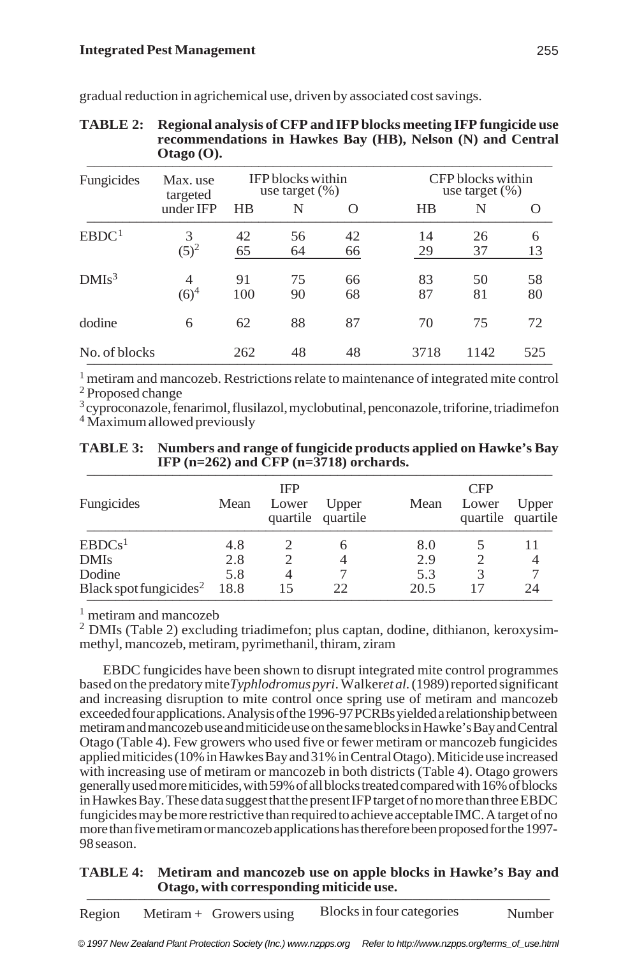| Fungicides        | Max. use<br>targeted | <b>IFP</b> blocks within<br>use target $(\% )$ |    |          | CFP blocks within<br>use target $(\%)$ |      |     |
|-------------------|----------------------|------------------------------------------------|----|----------|----------------------------------------|------|-----|
|                   | under IFP            | HR                                             | N  | $\Omega$ | $_{\rm HB}$                            | N    | O   |
| EBDC <sup>1</sup> | 3                    | 42                                             | 56 | 42       | 14                                     | 26   | 6   |
|                   | $(5)^2$              | 65                                             | 64 | 66       | 29                                     | 37   | 13  |
| DMIs <sup>3</sup> | 4                    | 91                                             | 75 | 66       | 83                                     | 50   | 58  |
|                   | $(6)^4$              | 100                                            | 90 | 68       | 87                                     | 81   | 80  |
| dodine            | 6                    | 62                                             | 88 | 87       | 70                                     | 75   | 72  |
| No. of blocks     |                      | 262                                            | 48 | 48       | 3718                                   | 1142 | 525 |

gradual reduction in agrichemical use, driven by associated cost savings.

# **TABLE 2: Regional analysis of CFP and IFP blocks meeting IFP fungicide use recommendations in Hawkes Bay (HB), Nelson (N) and Central Otago (O).** \_\_\_\_\_\_\_\_\_\_\_\_\_\_\_\_\_\_\_\_\_\_\_\_\_\_\_\_\_\_\_\_\_\_\_\_\_\_\_\_\_\_\_\_\_\_\_\_\_\_\_\_\_\_\_\_\_\_\_\_\_\_\_\_\_

 $<sup>1</sup>$  metiram and mancozeb. Restrictions relate to maintenance of integrated mite control</sup> <sup>2</sup> Proposed change

 $3$  cyproconazole, fenarimol, flusilazol, myclobutinal, penconazole, triforine, triadimefon 4 Maximum allowed previously

| <b>TABLE 3:</b> Numbers and range of fungicide products applied on Hawke's Bay<br>IFP $(n=262)$ and CFP $(n=3718)$ orchards. |
|------------------------------------------------------------------------------------------------------------------------------|
|                                                                                                                              |

| Fungicides                              | IFP<br>Mean<br>Lower<br>Upper<br>quartile quartile |    |    | Mean | <b>CFP</b><br>Lower<br>Upper<br>quartile quartile |    |  |
|-----------------------------------------|----------------------------------------------------|----|----|------|---------------------------------------------------|----|--|
| EBDCs <sup>1</sup>                      | 4.8                                                |    | h  | 8.0  |                                                   |    |  |
| <b>DMIs</b>                             | 2.8                                                |    |    | 2.9  |                                                   |    |  |
| Dodine                                  | 5.8                                                | 4  |    | 5.3  |                                                   |    |  |
| Black spot fungicides <sup>2</sup> 18.8 |                                                    | 15 | 22 | 20.5 |                                                   | 24 |  |

<sup>1</sup> metiram and mancozeb

2 DMIs (Table 2) excluding triadimefon; plus captan, dodine, dithianon, keroxysimmethyl, mancozeb, metiram, pyrimethanil, thiram, ziram

EBDC fungicides have been shown to disrupt integrated mite control programmes based on the predatory mite *Typhlodromus pyri*. Walker *et al.* (1989) reported significant and increasing disruption to mite control once spring use of metiram and mancozeb exceeded four applications. Analysis of the 1996-97 PCRBs yielded a relationship between metiram and mancozeb use and miticide use on the same blocks in Hawke's Bay and Central Otago (Table 4). Few growers who used five or fewer metiram or mancozeb fungicides applied miticides (10% in Hawkes Bay and 31% in Central Otago). Miticide use increased with increasing use of metiram or mancozeb in both districts (Table 4). Otago growers generally used more miticides, with 59% of all blocks treated compared with 16% of blocks in Hawkes Bay. These data suggest that the present IFP target of no more than three EBDC fungicides may be more restrictive than required to achieve acceptable IMC. A target of no more than five metiram or mancozeb applications has therefore been proposed for the 1997- 98 season.

# **TABLE 4: Metiram and mancozeb use on apple blocks in Hawke's Bay and** Otago, with corresponding miticide use.

Region Metiram + Growers using Blocks in four categories Number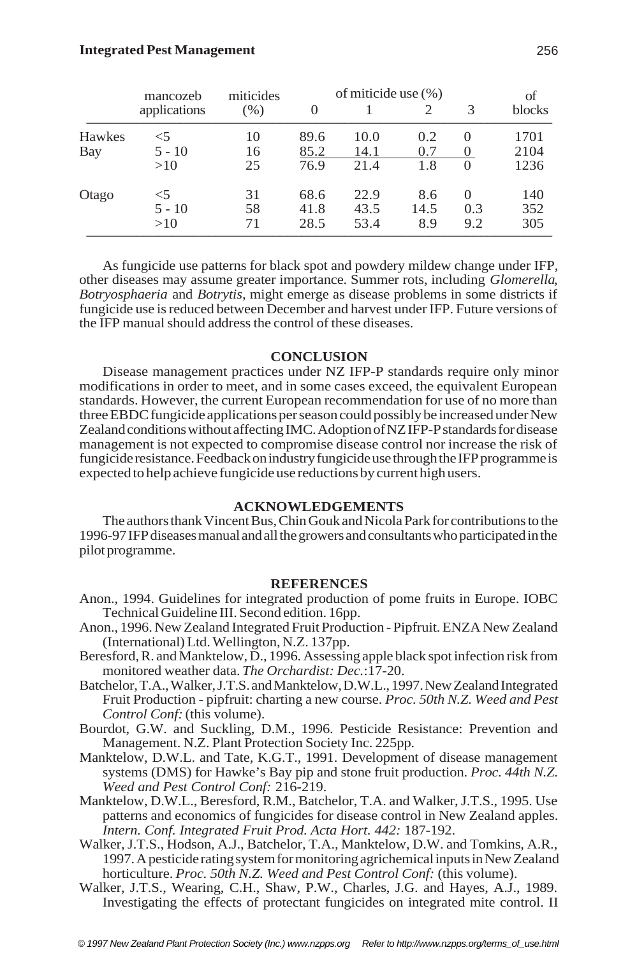|        | mancozeb     | miticides | of miticide use (%) |      |      |          | of     |
|--------|--------------|-----------|---------------------|------|------|----------|--------|
|        | applications | (% )      | $\Omega$            |      |      | 3        | blocks |
| Hawkes | <5           | 10        | 89.6                | 10.0 | 0.2  | $\Omega$ | 1701   |
| Bay    | $5 - 10$     | 16        | 85.2                | 14.1 | 0.7  |          | 2104   |
|        | >10          | 25        | 76.9                | 21.4 | 1.8  | $\theta$ | 1236   |
| Otago  | $<$ 5        | 31        | 68.6                | 22.9 | 8.6  | $\Omega$ | 140    |
|        | $5 - 10$     | 58        | 41.8                | 43.5 | 14.5 | 0.3      | 352    |
|        | >10          | 71        | 28.5                | 53.4 | 8.9  | 9.2      | 305    |

As fungicide use patterns for black spot and powdery mildew change under IFP, other diseases may assume greater importance. Summer rots, including *Glomerella*, *Botryosphaeria* and *Botrytis*, might emerge as disease problems in some districts if fungicide use is reduced between December and harvest under IFP. Future versions of the IFP manual should address the control of these diseases.

## **CONCLUSION**

Disease management practices under NZ IFP-P standards require only minor modifications in order to meet, and in some cases exceed, the equivalent European standards. However, the current European recommendation for use of no more than three EBDC fungicide applications per season could possibly be increased under New Zealand conditions without affecting IMC. Adoption of NZ IFP-P standards for disease management is not expected to compromise disease control nor increase the risk of fungicide resistance. Feedback on industry fungicide use through the IFP programme is expected to help achieve fungicide use reductions by current high users.

# **ACKNOWLEDGEMENTS**

The authors thank Vincent Bus, Chin Gouk and Nicola Park for contributions to the 1996-97 IFP diseases manual and all the growers and consultants who participated in the pilot programme.

### **REFERENCES**

- Anon., 1994. Guidelines for integrated production of pome fruits in Europe. IOBC Technical Guideline III. Second edition. 16pp.
- Anon., 1996. New Zealand Integrated Fruit Production Pipfruit. ENZA New Zealand (International) Ltd. Wellington, N.Z. 137pp.
- Beresford, R. and Manktelow, D., 1996. Assessing apple black spot infection risk from monitored weather data. *The Orchardist: Dec.*:17-20.
- Batchelor, T.A., Walker, J.T.S. and Manktelow, D.W.L., 1997. New Zealand Integrated Fruit Production - pipfruit: charting a new course. *Proc. 50th N.Z. Weed and Pest Control Conf:* (this volume).
- Bourdot, G.W. and Suckling, D.M., 1996. Pesticide Resistance: Prevention and Management. N.Z. Plant Protection Society Inc. 225pp.
- Manktelow, D.W.L. and Tate, K.G.T., 1991. Development of disease management systems (DMS) for Hawke's Bay pip and stone fruit production. *Proc. 44th N.Z. Weed and Pest Control Conf:* 216-219.
- Manktelow, D.W.L., Beresford, R.M., Batchelor, T.A. and Walker, J.T.S., 1995. Use patterns and economics of fungicides for disease control in New Zealand apples. *Intern. Conf. Integrated Fruit Prod. Acta Hort. 442:* 187-192.
- Walker, J.T.S., Hodson, A.J., Batchelor, T.A., Manktelow, D.W. and Tomkins, A.R., 1997. A pesticide rating system for monitoring agrichemical inputs in New Zealand horticulture. *Proc.* 50th N.Z. Weed and Pest Control Conf: (this volume).
- Walker, J.T.S., Wearing, C.H., Shaw, P.W., Charles, J.G. and Hayes, A.J., 1989. Investigating the effects of protectant fungicides on integrated mite control*.* II